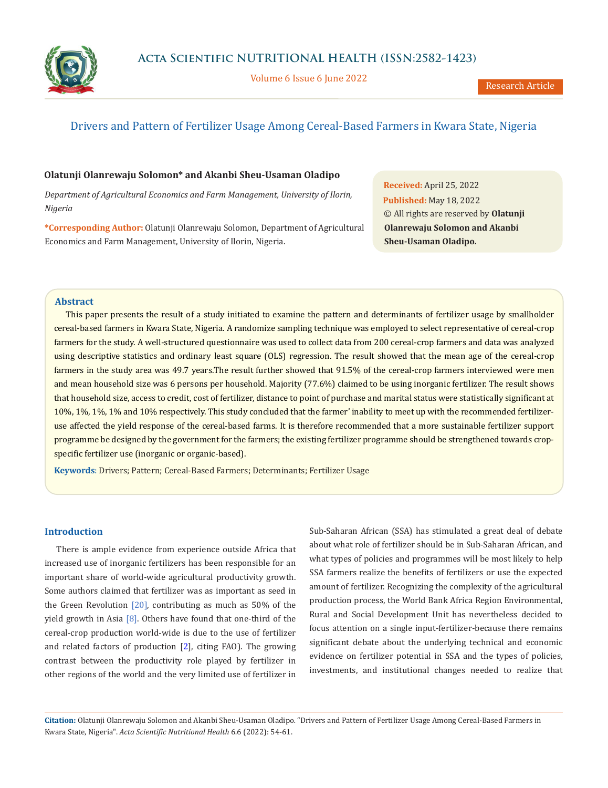

Volume 6 Issue 6 June 2022

# Drivers and Pattern of Fertilizer Usage Among Cereal-Based Farmers in Kwara State, Nigeria

**Olatunji Olanrewaju Solomon\* and Akanbi Sheu-Usaman Oladipo**

*Department of Agricultural Economics and Farm Management, University of Ilorin, Nigeria*

**\*Corresponding Author:** Olatunji Olanrewaju Solomon, Department of Agricultural Economics and Farm Management, University of Ilorin, Nigeria.

**Received:** April 25, 2022 **Published:** May 18, 2022 © All rights are reserved by **Olatunji Olanrewaju Solomon and Akanbi Sheu-Usaman Oladipo.**

# **Abstract**

This paper presents the result of a study initiated to examine the pattern and determinants of fertilizer usage by smallholder cereal-based farmers in Kwara State, Nigeria. A randomize sampling technique was employed to select representative of cereal-crop farmers for the study. A well-structured questionnaire was used to collect data from 200 cereal-crop farmers and data was analyzed using descriptive statistics and ordinary least square (OLS) regression. The result showed that the mean age of the cereal-crop farmers in the study area was 49.7 years.The result further showed that 91.5% of the cereal-crop farmers interviewed were men and mean household size was 6 persons per household. Majority (77.6%) claimed to be using inorganic fertilizer. The result shows that household size, access to credit, cost of fertilizer, distance to point of purchase and marital status were statistically significant at 10%, 1%, 1%, 1% and 10% respectively. This study concluded that the farmer' inability to meet up with the recommended fertilizeruse affected the yield response of the cereal-based farms. It is therefore recommended that a more sustainable fertilizer support programme be designed by the government for the farmers; the existing fertilizer programme should be strengthened towards cropspecific fertilizer use (inorganic or organic-based).

**Keywords**: Drivers; Pattern; Cereal-Based Farmers; Determinants; Fertilizer Usage

# **Introduction**

There is ample evidence from experience outside Africa that increased use of inorganic fertilizers has been responsible for an important share of world-wide agricultural productivity growth. Some authors claimed that fertilizer was as important as seed in the Green Revolution  $[20]$ , contributing as much as 50% of the yield growth in Asia  $[8]$ . Others have found that one-third of the cereal-crop production world-wide is due to the use of fertilizer and related factors of production [2], citing FAO). The growing contrast between the productivity role played by fertilizer in other regions of the world and the very limited use of fertilizer in

Sub-Saharan African (SSA) has stimulated a great deal of debate about what role of fertilizer should be in Sub-Saharan African, and what types of policies and programmes will be most likely to help SSA farmers realize the benefits of fertilizers or use the expected amount of fertilizer. Recognizing the complexity of the agricultural production process, the World Bank Africa Region Environmental, Rural and Social Development Unit has nevertheless decided to focus attention on a single input-fertilizer-because there remains significant debate about the underlying technical and economic evidence on fertilizer potential in SSA and the types of policies, investments, and institutional changes needed to realize that

**Citation:** Olatunji Olanrewaju Solomon and Akanbi Sheu-Usaman Oladipo*.* "Drivers and Pattern of Fertilizer Usage Among Cereal-Based Farmers in Kwara State, Nigeria". *Acta Scientific Nutritional Health* 6.6 (2022): 54-61.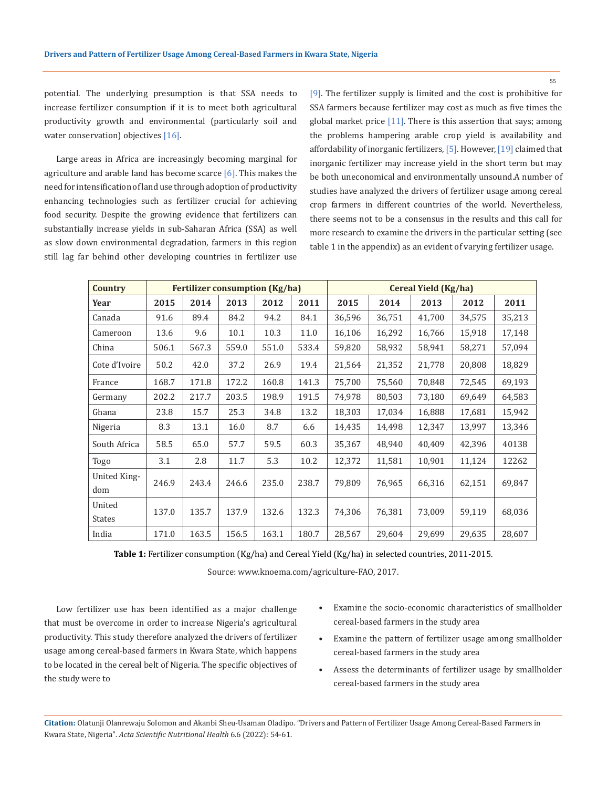potential. The underlying presumption is that SSA needs to increase fertilizer consumption if it is to meet both agricultural productivity growth and environmental (particularly soil and water conservation) objectives [16].

Large areas in Africa are increasingly becoming marginal for agriculture and arable land has become scarce  $[6]$ . This makes the need for intensification of land use through adoption of productivity enhancing technologies such as fertilizer crucial for achieving food security. Despite the growing evidence that fertilizers can substantially increase yields in sub-Saharan Africa (SSA) as well as slow down environmental degradation, farmers in this region still lag far behind other developing countries in fertilizer use [9]. The fertilizer supply is limited and the cost is prohibitive for SSA farmers because fertilizer may cost as much as five times the global market price  $[11]$ . There is this assertion that says; among the problems hampering arable crop yield is availability and affordability of inorganic fertilizers, [5]. However, [19] claimed that inorganic fertilizer may increase yield in the short term but may be both uneconomical and environmentally unsound.A number of studies have analyzed the drivers of fertilizer usage among cereal crop farmers in different countries of the world. Nevertheless, there seems not to be a consensus in the results and this call for more research to examine the drivers in the particular setting (see table 1 in the appendix) as an evident of varying fertilizer usage.

| <b>Country</b>          | <b>Fertilizer consumption (Kg/ha)</b> |       |       |       | Cereal Yield (Kg/ha) |        |        |        |        |        |
|-------------------------|---------------------------------------|-------|-------|-------|----------------------|--------|--------|--------|--------|--------|
| Year                    | 2015                                  | 2014  | 2013  | 2012  | 2011                 | 2015   | 2014   | 2013   | 2012   | 2011   |
| Canada                  | 91.6                                  | 89.4  | 84.2  | 94.2  | 84.1                 | 36,596 | 36,751 | 41,700 | 34,575 | 35,213 |
| Cameroon                | 13.6                                  | 9.6   | 10.1  | 10.3  | 11.0                 | 16,106 | 16,292 | 16,766 | 15,918 | 17,148 |
| China                   | 506.1                                 | 567.3 | 559.0 | 551.0 | 533.4                | 59,820 | 58,932 | 58,941 | 58,271 | 57,094 |
| Cote d'Ivoire           | 50.2                                  | 42.0  | 37.2  | 26.9  | 19.4                 | 21,564 | 21,352 | 21,778 | 20,808 | 18,829 |
| France                  | 168.7                                 | 171.8 | 172.2 | 160.8 | 141.3                | 75,700 | 75,560 | 70,848 | 72,545 | 69,193 |
| Germany                 | 202.2                                 | 217.7 | 203.5 | 198.9 | 191.5                | 74,978 | 80,503 | 73,180 | 69,649 | 64,583 |
| Ghana                   | 23.8                                  | 15.7  | 25.3  | 34.8  | 13.2                 | 18,303 | 17,034 | 16,888 | 17,681 | 15,942 |
| Nigeria                 | 8.3                                   | 13.1  | 16.0  | 8.7   | 6.6                  | 14,435 | 14,498 | 12,347 | 13,997 | 13,346 |
| South Africa            | 58.5                                  | 65.0  | 57.7  | 59.5  | 60.3                 | 35,367 | 48,940 | 40,409 | 42,396 | 40138  |
| Togo                    | 3.1                                   | 2.8   | 11.7  | 5.3   | 10.2                 | 12,372 | 11,581 | 10,901 | 11,124 | 12262  |
| United King-<br>dom     | 246.9                                 | 243.4 | 246.6 | 235.0 | 238.7                | 79,809 | 76,965 | 66,316 | 62,151 | 69,847 |
| United<br><b>States</b> | 137.0                                 | 135.7 | 137.9 | 132.6 | 132.3                | 74,306 | 76,381 | 73,009 | 59,119 | 68,036 |
| India                   | 171.0                                 | 163.5 | 156.5 | 163.1 | 180.7                | 28,567 | 29,604 | 29,699 | 29,635 | 28,607 |

**Table 1:** Fertilizer consumption (Kg/ha) and Cereal Yield (Kg/ha) in selected countries, 2011-2015.

Source: www.knoema.com/agriculture-FAO, 2017.

Low fertilizer use has been identified as a major challenge that must be overcome in order to increase Nigeria's agricultural productivity. This study therefore analyzed the drivers of fertilizer usage among cereal-based farmers in Kwara State, which happens to be located in the cereal belt of Nigeria. The specific objectives of the study were to

- Examine the socio-economic characteristics of smallholder cereal-based farmers in the study area
- Examine the pattern of fertilizer usage among smallholder cereal-based farmers in the study area
- Assess the determinants of fertilizer usage by smallholder cereal-based farmers in the study area

**Citation:** Olatunji Olanrewaju Solomon and Akanbi Sheu-Usaman Oladipo*.* "Drivers and Pattern of Fertilizer Usage Among Cereal-Based Farmers in Kwara State, Nigeria". *Acta Scientific Nutritional Health* 6.6 (2022): 54-61.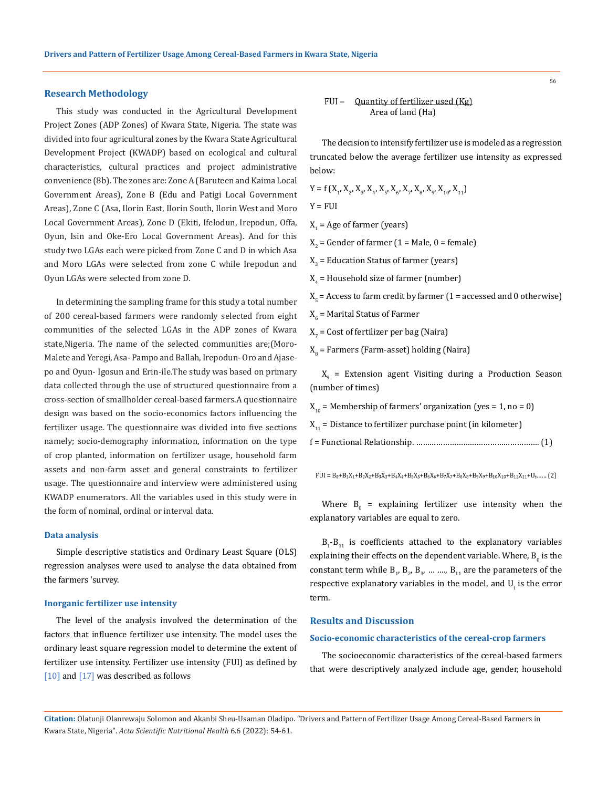### **Research Methodology**

This study was conducted in the Agricultural Development Project Zones (ADP Zones) of Kwara State, Nigeria. The state was divided into four agricultural zones by the Kwara State Agricultural Development Project (KWADP) based on ecological and cultural characteristics, cultural practices and project administrative convenience (8b). The zones are: Zone A (Baruteen and Kaima Local Government Areas), Zone B (Edu and Patigi Local Government Areas), Zone C (Asa, Ilorin East, Ilorin South, Ilorin West and Moro Local Government Areas), Zone D (Ekiti, Ifelodun, Irepodun, Offa, Oyun, Isin and Oke-Ero Local Government Areas). And for this study two LGAs each were picked from Zone C and D in which Asa and Moro LGAs were selected from zone C while Irepodun and Oyun LGAs were selected from zone D.

In determining the sampling frame for this study a total number of 200 cereal-based farmers were randomly selected from eight communities of the selected LGAs in the ADP zones of Kwara state,Nigeria. The name of the selected communities are;(Moro-Malete and Yeregi, Asa- Pampo and Ballah, Irepodun-Oro and Ajasepo and Oyun- Igosun and Erin-ile.The study was based on primary data collected through the use of structured questionnaire from a cross-section of smallholder cereal-based farmers.A questionnaire design was based on the socio-economics factors influencing the fertilizer usage. The questionnaire was divided into five sections namely; socio-demography information, information on the type of crop planted, information on fertilizer usage, household farm assets and non-farm asset and general constraints to fertilizer usage. The questionnaire and interview were administered using KWADP enumerators. All the variables used in this study were in the form of nominal, ordinal or interval data.

#### **Data analysis**

Simple descriptive statistics and Ordinary Least Square (OLS) regression analyses were used to analyse the data obtained from the farmers 'survey.

#### **Inorganic fertilizer use intensity**

The level of the analysis involved the determination of the factors that influence fertilizer use intensity. The model uses the ordinary least square regression model to determine the extent of fertilizer use intensity. Fertilizer use intensity (FUI) as defined by [10] and [17] was described as follows

$$
FUI = \text{Quantity of fertilizer used (Kg)}\\ \text{Area of land (Ha)}
$$

The decision to intensify fertilizer use is modeled as a regression truncated below the average fertilizer use intensity as expressed below:

 $Y = f(X_1, X_2, X_3, X_4, X_5, X_6, X_7, X_8, X_9, X_{10}, X_{11})$ 

 $Y = FUI$ 

 $X_1$  = Age of farmer (years)

 $X_2$  = Gender of farmer (1 = Male, 0 = female)

 $X_{3}$  = Education Status of farmer (years)

 $X^4$  = Household size of farmer (number)

 $X_{\mathbf{5}}$  = Access to farm credit by farmer (  $1$  = accessed and 0 otherwise)

 $X_6$  = Marital Status of Farmer

 $X_{7}$  = Cost of fertilizer per bag (Naira)

 $X_{\text{g}}$  = Farmers (Farm-asset) holding (Naira)

 $X_{9}$  = Extension agent Visiting during a Production Season (number of times)

 $X_{10}$  = Membership of farmers' organization (yes = 1, no = 0)

- $X_{11}$  = Distance to fertilizer purchase point (in kilometer)
- f = Functional Relationship. ………………………………………………. (1)

 $FUI = B_0 + B_1X_1 + B_2X_2 + B_3X_3 + B_4X_4 + B_5X_5 + B_6X_6 + B_7X_7 + B_8X_8 + B_9X_9 + B_{10}X_{10} + B_{11}X_{11} + U_t, \dots, (2)$ 

Where  $B_0$  = explaining fertilizer use intensity when the explanatory variables are equal to zero.

 $B_1$ - $B_{11}$  is coefficients attached to the explanatory variables explaining their effects on the dependent variable. Where,  $\mathtt{B}_0$  is the constant term while  $B_1$ ,  $B_2$ ,  $B_3$ , ... ....,  $B_{11}$  are the parameters of the respective explanatory variables in the model, and  $U_t$  is the error term.

## **Results and Discussion**

#### **Socio-economic characteristics of the cereal-crop farmers**

The socioeconomic characteristics of the cereal-based farmers that were descriptively analyzed include age, gender, household

**Citation:** Olatunji Olanrewaju Solomon and Akanbi Sheu-Usaman Oladipo*.* "Drivers and Pattern of Fertilizer Usage Among Cereal-Based Farmers in Kwara State, Nigeria". *Acta Scientific Nutritional Health* 6.6 (2022): 54-61.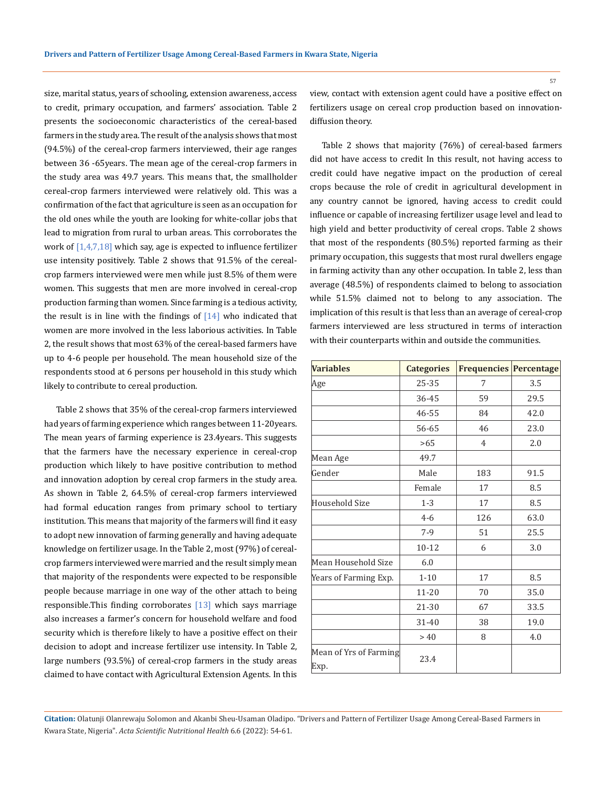size, marital status, years of schooling, extension awareness, access to credit, primary occupation, and farmers' association. Table 2 presents the socioeconomic characteristics of the cereal-based farmers in the study area. The result of the analysis shows that most (94.5%) of the cereal-crop farmers interviewed, their age ranges between 36 -65years. The mean age of the cereal-crop farmers in the study area was 49.7 years. This means that, the smallholder cereal-crop farmers interviewed were relatively old. This was a confirmation of the fact that agriculture is seen as an occupation for the old ones while the youth are looking for white-collar jobs that lead to migration from rural to urban areas. This corroborates the work of [1,4,7,18] which say, age is expected to influence fertilizer use intensity positively. Table 2 shows that 91.5% of the cerealcrop farmers interviewed were men while just 8.5% of them were women. This suggests that men are more involved in cereal-crop production farming than women. Since farming is a tedious activity, the result is in line with the findings of  $[14]$  who indicated that women are more involved in the less laborious activities. In Table 2, the result shows that most 63% of the cereal-based farmers have up to 4-6 people per household. The mean household size of the respondents stood at 6 persons per household in this study which likely to contribute to cereal production.

Table 2 shows that 35% of the cereal-crop farmers interviewed had years of farming experience which ranges between 11-20years. The mean years of farming experience is 23.4years. This suggests that the farmers have the necessary experience in cereal-crop production which likely to have positive contribution to method and innovation adoption by cereal crop farmers in the study area. As shown in Table 2, 64.5% of cereal-crop farmers interviewed had formal education ranges from primary school to tertiary institution. This means that majority of the farmers will find it easy to adopt new innovation of farming generally and having adequate knowledge on fertilizer usage. In the Table 2, most (97%) of cerealcrop farmers interviewed were married and the result simply mean that majority of the respondents were expected to be responsible people because marriage in one way of the other attach to being responsible. This finding corroborates  $[13]$  which says marriage also increases a farmer's concern for household welfare and food security which is therefore likely to have a positive effect on their decision to adopt and increase fertilizer use intensity. In Table 2, large numbers (93.5%) of cereal-crop farmers in the study areas claimed to have contact with Agricultural Extension Agents. In this

Table 2 shows that majority (76%) of cereal-based farmers did not have access to credit In this result, not having access to credit could have negative impact on the production of cereal crops because the role of credit in agricultural development in any country cannot be ignored, having access to credit could influence or capable of increasing fertilizer usage level and lead to high yield and better productivity of cereal crops. Table 2 shows that most of the respondents (80.5%) reported farming as their primary occupation, this suggests that most rural dwellers engage in farming activity than any other occupation. In table 2, less than average (48.5%) of respondents claimed to belong to association while 51.5% claimed not to belong to any association. The implication of this result is that less than an average of cereal-crop farmers interviewed are less structured in terms of interaction with their counterparts within and outside the communities.

| <b>Variables</b>               | <b>Categories</b> | <b>Frequencies Percentage</b> |      |
|--------------------------------|-------------------|-------------------------------|------|
| Age                            | 25-35             | 7                             | 3.5  |
|                                | 36-45             | 59                            | 29.5 |
|                                | 46-55             | 84                            | 42.0 |
|                                | 56-65             | 46                            | 23.0 |
|                                | >65               | $\overline{4}$                | 2.0  |
| Mean Age                       | 49.7              |                               |      |
| Gender                         | Male              | 183                           | 91.5 |
|                                | Female            | 17                            | 8.5  |
| Household Size                 | $1 - 3$           | 17                            | 8.5  |
|                                | $4 - 6$           | 126                           | 63.0 |
|                                | $7-9$             | 51                            | 25.5 |
|                                | $10 - 12$         | 6                             | 3.0  |
| Mean Household Size            | 6.0               |                               |      |
| Years of Farming Exp.          | $1 - 10$          | 17                            | 8.5  |
|                                | 11-20             | 70                            | 35.0 |
|                                | 21-30             | 67                            | 33.5 |
|                                | 31-40             | 38                            | 19.0 |
|                                | > 40              | 8                             | 4.0  |
| Mean of Yrs of Farming<br>Exp. | 23.4              |                               |      |

**Citation:** Olatunji Olanrewaju Solomon and Akanbi Sheu-Usaman Oladipo*.* "Drivers and Pattern of Fertilizer Usage Among Cereal-Based Farmers in Kwara State, Nigeria". *Acta Scientific Nutritional Health* 6.6 (2022): 54-61.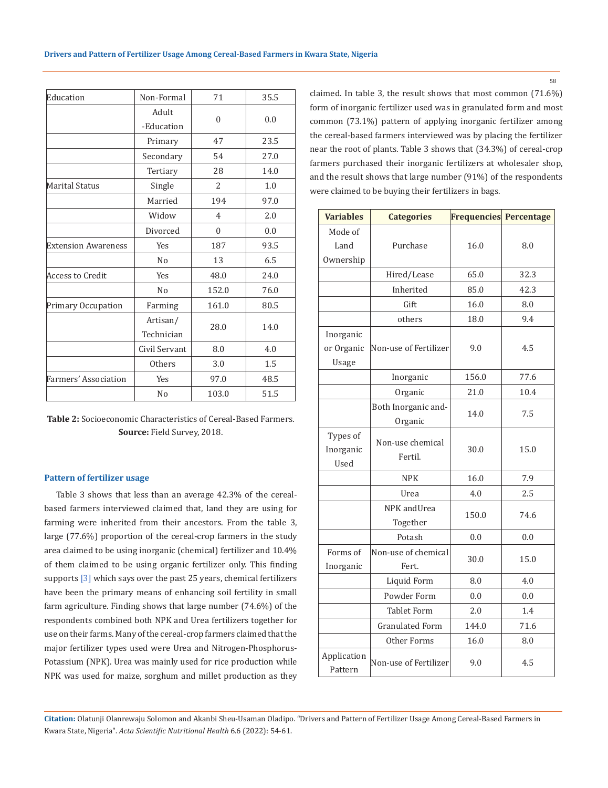| Education                  | Non-Formal     | 71             | 35.5 |  |
|----------------------------|----------------|----------------|------|--|
|                            | Adult          | $\theta$       | 0.0  |  |
|                            | -Education     |                |      |  |
|                            | Primary        | 47             | 23.5 |  |
|                            | Secondary      | 54             | 27.0 |  |
|                            | Tertiary       | 28             | 14.0 |  |
| Marital Status             | Single         | 2              | 1.0  |  |
|                            | Married        | 194            | 97.0 |  |
|                            | Widow          | $\overline{4}$ | 2.0  |  |
|                            | Divorced       | $\theta$       | 0.0  |  |
| <b>Extension Awareness</b> | Yes            | 187            | 93.5 |  |
|                            | N <sub>o</sub> | 13             | 6.5  |  |
| Access to Credit           | Yes            | 48.0           | 24.0 |  |
|                            | N <sub>0</sub> | 152.0          | 76.0 |  |
| Primary Occupation         | Farming        | 161.0          | 80.5 |  |
|                            | Artisan/       | 28.0           | 14.0 |  |
|                            | Technician     |                |      |  |
|                            | Civil Servant  | 8.0            | 4.0  |  |
|                            | <b>Others</b>  | 3.0            | 1.5  |  |
| Farmers' Association       | Yes            | 97.0           | 48.5 |  |
|                            | N <sub>0</sub> | 103.0          | 51.5 |  |

**Table 2:** Socioeconomic Characteristics of Cereal-Based Farmers. **Source:** Field Survey, 2018.

#### **Pattern of fertilizer usage**

Table 3 shows that less than an average 42.3% of the cerealbased farmers interviewed claimed that, land they are using for farming were inherited from their ancestors. From the table 3, large (77.6%) proportion of the cereal-crop farmers in the study area claimed to be using inorganic (chemical) fertilizer and 10.4% of them claimed to be using organic fertilizer only. This finding supports  $[3]$  which says over the past 25 years, chemical fertilizers have been the primary means of enhancing soil fertility in small farm agriculture. Finding shows that large number (74.6%) of the respondents combined both NPK and Urea fertilizers together for use on their farms. Many of the cereal-crop farmers claimed that the major fertilizer types used were Urea and Nitrogen-Phosphorus-Potassium (NPK). Urea was mainly used for rice production while NPK was used for maize, sorghum and millet production as they claimed. In table 3, the result shows that most common (71.6%) form of inorganic fertilizer used was in granulated form and most common (73.1%) pattern of applying inorganic fertilizer among the cereal-based farmers interviewed was by placing the fertilizer near the root of plants. Table 3 shows that (34.3%) of cereal-crop farmers purchased their inorganic fertilizers at wholesaler shop, and the result shows that large number (91%) of the respondents were claimed to be buying their fertilizers in bags.

| <b>Variables</b>       | <b>Categories</b>           | Frequencies Percentage |      |  |
|------------------------|-----------------------------|------------------------|------|--|
| Mode of                |                             |                        |      |  |
| Land                   | Purchase                    | 16.0                   | 8.0  |  |
| Ownership              |                             |                        |      |  |
|                        | Hired/Lease                 | 65.0                   | 32.3 |  |
|                        | Inherited                   | 85.0                   | 42.3 |  |
|                        | Gift                        | 16.0                   | 8.0  |  |
|                        | others                      | 18.0                   | 9.4  |  |
| Inorganic              |                             |                        |      |  |
| or Organic             | Non-use of Fertilizer       | 9.0                    | 4.5  |  |
| Usage                  |                             |                        |      |  |
|                        | Inorganic                   | 156.0                  | 77.6 |  |
|                        | Organic                     | 21.0                   | 10.4 |  |
|                        | Both Inorganic and-         |                        |      |  |
|                        | Organic                     | 14.0                   | 7.5  |  |
| Types of               |                             |                        | 15.0 |  |
| Inorganic              | Non-use chemical<br>Fertil. | 30.0                   |      |  |
| Used                   |                             |                        |      |  |
|                        | <b>NPK</b>                  | 16.0                   | 7.9  |  |
|                        | Urea                        | 4.0                    | 2.5  |  |
|                        | NPK andUrea                 |                        |      |  |
|                        | Together                    | 150.0                  | 74.6 |  |
|                        | Potash                      | 0.0                    | 0.0  |  |
| Forms of               | Non-use of chemical         |                        | 15.0 |  |
| Inorganic              | Fert.                       | 30.0                   |      |  |
|                        | Liquid Form                 | 8.0                    | 4.0  |  |
|                        | Powder Form                 | 0.0                    | 0.0  |  |
|                        | <b>Tablet Form</b>          | 2.0                    | 1.4  |  |
|                        | <b>Granulated Form</b>      | 144.0                  | 71.6 |  |
|                        | Other Forms                 | 16.0                   | 8.0  |  |
| Application<br>Pattern | Non-use of Fertilizer       | 9.0                    | 4.5  |  |

**Citation:** Olatunji Olanrewaju Solomon and Akanbi Sheu-Usaman Oladipo*.* "Drivers and Pattern of Fertilizer Usage Among Cereal-Based Farmers in Kwara State, Nigeria". *Acta Scientific Nutritional Health* 6.6 (2022): 54-61.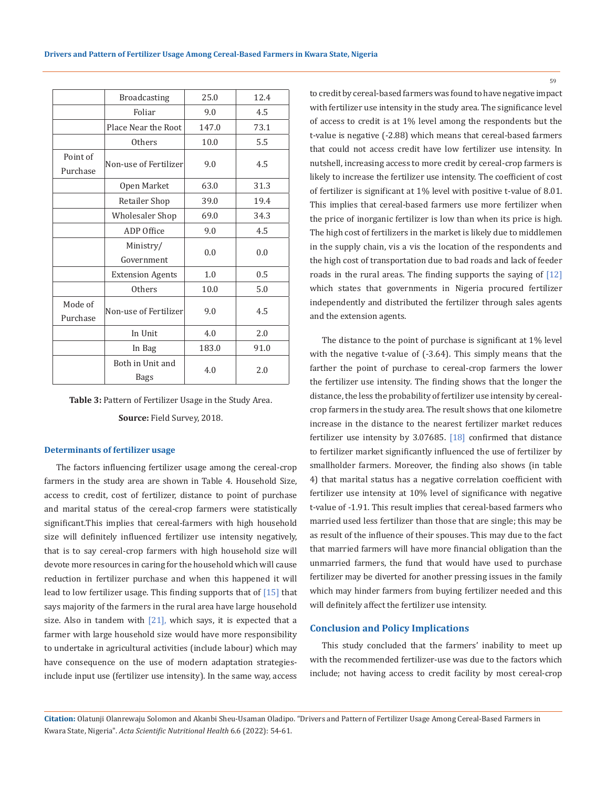| <b>Broadcasting</b>     | 25.0                                           | 12.4                     |  |
|-------------------------|------------------------------------------------|--------------------------|--|
| Foliar                  | 9.0                                            | 4.5                      |  |
| Place Near the Root     | 147.0                                          | 73.1                     |  |
| Others                  | 10.0                                           | 5.5                      |  |
|                         |                                                | 4.5                      |  |
|                         |                                                |                          |  |
| Open Market             | 63.0                                           | 31.3                     |  |
| Retailer Shop           | 39.0                                           | 19.4                     |  |
| <b>Wholesaler Shop</b>  | 69.0                                           | 34.3                     |  |
| ADP Office              | 9.0                                            | 4.5                      |  |
| Ministry/               |                                                | 0.0                      |  |
| Government              |                                                |                          |  |
| <b>Extension Agents</b> | 1.0                                            | 0.5                      |  |
| Others                  | 10.0                                           | 5.0                      |  |
|                         |                                                | 4.5                      |  |
|                         |                                                |                          |  |
| In Unit                 | 4.0                                            | 2.0                      |  |
| In Bag                  | 183.0                                          | 91.0                     |  |
| Both in Unit and        |                                                | 2.0                      |  |
| Bags                    |                                                |                          |  |
|                         | Non-use of Fertilizer<br>Non-use of Fertilizer | 9.0<br>0.0<br>9.0<br>4.0 |  |

**Table 3:** Pattern of Fertilizer Usage in the Study Area.

**Source:** Field Survey, 2018.

### **Determinants of fertilizer usage**

The factors influencing fertilizer usage among the cereal-crop farmers in the study area are shown in Table 4. Household Size, access to credit, cost of fertilizer, distance to point of purchase and marital status of the cereal-crop farmers were statistically significant.This implies that cereal-farmers with high household size will definitely influenced fertilizer use intensity negatively, that is to say cereal-crop farmers with high household size will devote more resources in caring for the household which will cause reduction in fertilizer purchase and when this happened it will lead to low fertilizer usage. This finding supports that of [15] that says majority of the farmers in the rural area have large household size. Also in tandem with  $[21]$ , which says, it is expected that a farmer with large household size would have more responsibility to undertake in agricultural activities (include labour) which may have consequence on the use of modern adaptation strategiesinclude input use (fertilizer use intensity). In the same way, access to credit by cereal-based farmers was found to have negative impact with fertilizer use intensity in the study area. The significance level of access to credit is at 1% level among the respondents but the t-value is negative (-2.88) which means that cereal-based farmers that could not access credit have low fertilizer use intensity. In nutshell, increasing access to more credit by cereal-crop farmers is likely to increase the fertilizer use intensity. The coefficient of cost of fertilizer is significant at 1% level with positive t-value of 8.01. This implies that cereal-based farmers use more fertilizer when the price of inorganic fertilizer is low than when its price is high. The high cost of fertilizers in the market is likely due to middlemen in the supply chain, vis a vis the location of the respondents and the high cost of transportation due to bad roads and lack of feeder roads in the rural areas. The finding supports the saying of [12] which states that governments in Nigeria procured fertilizer independently and distributed the fertilizer through sales agents and the extension agents.

The distance to the point of purchase is significant at 1% level with the negative t-value of (-3.64). This simply means that the farther the point of purchase to cereal-crop farmers the lower the fertilizer use intensity. The finding shows that the longer the distance, the less the probability of fertilizer use intensity by cerealcrop farmers in the study area. The result shows that one kilometre increase in the distance to the nearest fertilizer market reduces fertilizer use intensity by 3.07685. [18] confirmed that distance to fertilizer market significantly influenced the use of fertilizer by smallholder farmers. Moreover, the finding also shows (in table 4) that marital status has a negative correlation coefficient with fertilizer use intensity at 10% level of significance with negative t-value of -1.91. This result implies that cereal-based farmers who married used less fertilizer than those that are single; this may be as result of the influence of their spouses. This may due to the fact that married farmers will have more financial obligation than the unmarried farmers, the fund that would have used to purchase fertilizer may be diverted for another pressing issues in the family which may hinder farmers from buying fertilizer needed and this will definitely affect the fertilizer use intensity.

# **Conclusion and Policy Implications**

This study concluded that the farmers' inability to meet up with the recommended fertilizer-use was due to the factors which include; not having access to credit facility by most cereal-crop

**Citation:** Olatunji Olanrewaju Solomon and Akanbi Sheu-Usaman Oladipo*.* "Drivers and Pattern of Fertilizer Usage Among Cereal-Based Farmers in Kwara State, Nigeria". *Acta Scientific Nutritional Health* 6.6 (2022): 54-61.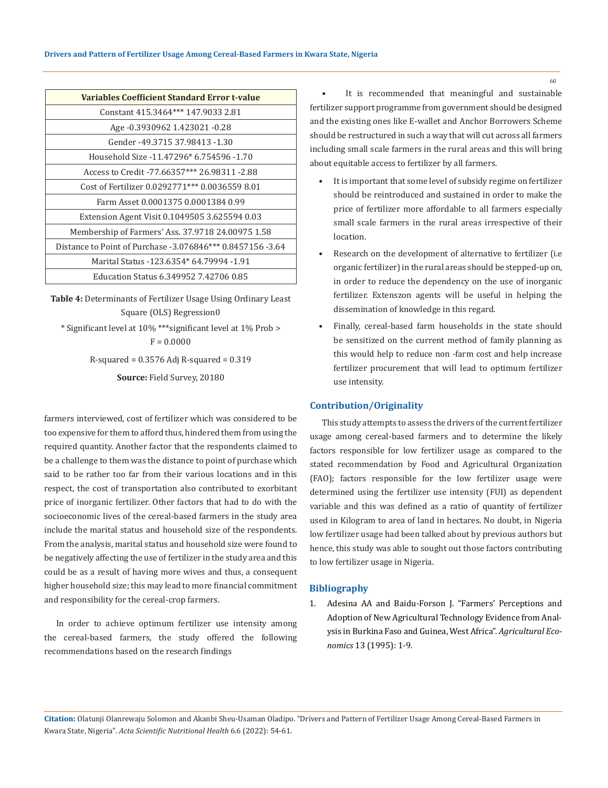| <b>Variables Coefficient Standard Error t-value</b>        |
|------------------------------------------------------------|
| Constant 415.3464*** 147.9033 2.81                         |
| Age -0.3930962 1.423021 -0.28                              |
| Gender -49.3715 37.98413 -1.30                             |
| Household Size -11.47296* 6.754596 -1.70                   |
| Access to Credit -77.66357*** 26.98311 -2.88               |
| Cost of Fertilizer 0.0292771*** 0.0036559 8.01             |
| Farm Asset 0.0001375 0.0001384 0.99                        |
| Extension Agent Visit 0.1049505 3.625594 0.03              |
| Membership of Farmers' Ass. 37.9718 24.00975 1.58          |
| Distance to Point of Purchase -3.076846*** 0.8457156 -3.64 |
| Marital Status -123.6354* 64.79994 -1.91                   |
| Education Status 6.349952 7.42706 0.85                     |

**Table 4:** Determinants of Fertilizer Usage Using Ordinary Least Square (OLS) Regression0 \* Significant level at 10% \*\*\*significant level at 1% Prob >  $F = 0.0000$ 

R-squared = 0.3576 Adj R-squared = 0.319

**Source:** Field Survey, 20180

farmers interviewed, cost of fertilizer which was considered to be too expensive for them to afford thus, hindered them from using the required quantity. Another factor that the respondents claimed to be a challenge to them was the distance to point of purchase which said to be rather too far from their various locations and in this respect, the cost of transportation also contributed to exorbitant price of inorganic fertilizer. Other factors that had to do with the socioeconomic lives of the cereal-based farmers in the study area include the marital status and household size of the respondents. From the analysis, marital status and household size were found to be negatively affecting the use of fertilizer in the study area and this could be as a result of having more wives and thus, a consequent higher household size; this may lead to more financial commitment and responsibility for the cereal-crop farmers.

In order to achieve optimum fertilizer use intensity among the cereal-based farmers, the study offered the following recommendations based on the research findings

• It is recommended that meaningful and sustainable fertilizer support programme from government should be designed and the existing ones like E-wallet and Anchor Borrowers Scheme should be restructured in such a way that will cut across all farmers including small scale farmers in the rural areas and this will bring about equitable access to fertilizer by all farmers.

- It is important that some level of subsidy regime on fertilizer should be reintroduced and sustained in order to make the price of fertilizer more affordable to all farmers especially small scale farmers in the rural areas irrespective of their location.
- Research on the development of alternative to fertilizer (i.e. organic fertilizer) in the rural areas should be stepped-up on, in order to reduce the dependency on the use of inorganic fertilizer. Extenszon agents will be useful in helping the dissemination of knowledge in this regard.
- Finally, cereal-based farm households in the state should be sensitized on the current method of family planning as this would help to reduce non -farm cost and help increase fertilizer procurement that will lead to optimum fertilizer use intensity.

# **Contribution/Originality**

This study attempts to assess the drivers of the current fertilizer usage among cereal-based farmers and to determine the likely factors responsible for low fertilizer usage as compared to the stated recommendation by Food and Agricultural Organization (FAO); factors responsible for the low fertilizer usage were determined using the fertilizer use intensity (FUI) as dependent variable and this was defined as a ratio of quantity of fertilizer used in Kilogram to area of land in hectares. No doubt, in Nigeria low fertilizer usage had been talked about by previous authors but hence, this study was able to sought out those factors contributing to low fertilizer usage in Nigeria.

# **Bibliography**

1. Adesina AA and Baidu-Forson J. "Farmers' Perceptions and Adoption of New Agricultural Technology Evidence from Analysis in Burkina Faso and Guinea, West Africa". *Agricultural Economics* 13 (1995): 1-9.

**Citation:** Olatunji Olanrewaju Solomon and Akanbi Sheu-Usaman Oladipo*.* "Drivers and Pattern of Fertilizer Usage Among Cereal-Based Farmers in Kwara State, Nigeria". *Acta Scientific Nutritional Health* 6.6 (2022): 54-61.